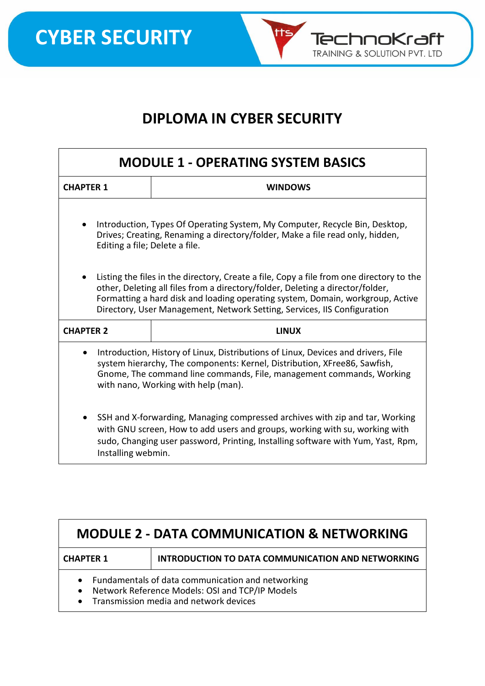

tts

TechnoKraft **TRAINING & SOLUTION PVT. LTD** 

| <b>MODULE 1 - OPERATING SYSTEM BASICS</b>                                                                                                                                                                                                                                                                                                |                |  |
|------------------------------------------------------------------------------------------------------------------------------------------------------------------------------------------------------------------------------------------------------------------------------------------------------------------------------------------|----------------|--|
| <b>CHAPTER 1</b>                                                                                                                                                                                                                                                                                                                         | <b>WINDOWS</b> |  |
| Introduction, Types Of Operating System, My Computer, Recycle Bin, Desktop,<br>$\bullet$<br>Drives; Creating, Renaming a directory/folder, Make a file read only, hidden,<br>Editing a file; Delete a file.                                                                                                                              |                |  |
| Listing the files in the directory, Create a file, Copy a file from one directory to the<br>other, Deleting all files from a directory/folder, Deleting a director/folder,<br>Formatting a hard disk and loading operating system, Domain, workgroup, Active<br>Directory, User Management, Network Setting, Services, IIS Configuration |                |  |
| <b>CHAPTER 2</b>                                                                                                                                                                                                                                                                                                                         | <b>LINUX</b>   |  |
| Introduction, History of Linux, Distributions of Linux, Devices and drivers, File<br>$\bullet$<br>system hierarchy, The components: Kernel, Distribution, XFree86, Sawfish,<br>Gnome, The command line commands, File, management commands, Working<br>with nano, Working with help (man).                                               |                |  |
| SSH and X-forwarding, Managing compressed archives with zip and tar, Working<br>$\bullet$<br>with GNU screen, How to add users and groups, working with su, working with<br>sudo, Changing user password, Printing, Installing software with Yum, Yast, Rpm,<br>Installing webmin.                                                       |                |  |

| <b>MODULE 2 - DATA COMMUNICATION &amp; NETWORKING</b>                                                                                                                    |                                                          |  |
|--------------------------------------------------------------------------------------------------------------------------------------------------------------------------|----------------------------------------------------------|--|
| <b>CHAPTER 1</b>                                                                                                                                                         | <b>INTRODUCTION TO DATA COMMUNICATION AND NETWORKING</b> |  |
| Fundamentals of data communication and networking<br>Network Reference Models: OSI and TCP/IP Models<br>$\bullet$<br>Transmission media and network devices<br>$\bullet$ |                                                          |  |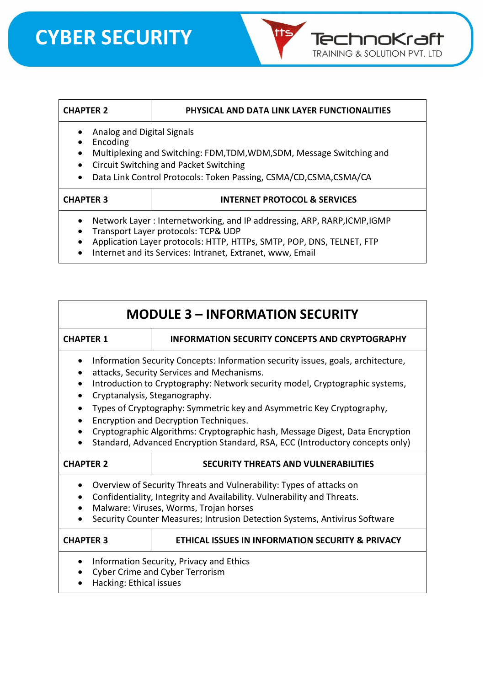# **CYBER SECURITY**



## **CHAPTER 2 PHYSICAL AND DATA LINK LAYER FUNCTIONALITIES**

- Analog and Digital Signals
- Encoding
- Multiplexing and Switching: FDM,TDM,WDM,SDM, Message Switching and
- Circuit Switching and Packet Switching
- Data Link Control Protocols: Token Passing, CSMA/CD,CSMA,CSMA/CA

## **CHAPTER 3 INTERNET PROTOCOL & SERVICES**

- Network Layer : Internetworking, and IP addressing, ARP, RARP,ICMP,IGMP
- Transport Layer protocols: TCP& UDP
- Application Layer protocols: HTTP, HTTPs, SMTP, POP, DNS, TELNET, FTP
- Internet and its Services: Intranet, Extranet, www, Email

| <b>MODULE 3 - INFORMATION SECURITY</b>                                                                                                                                                                                                                                                                                                                                                                                                                                                                                              |                                                                                    |  |
|-------------------------------------------------------------------------------------------------------------------------------------------------------------------------------------------------------------------------------------------------------------------------------------------------------------------------------------------------------------------------------------------------------------------------------------------------------------------------------------------------------------------------------------|------------------------------------------------------------------------------------|--|
| <b>CHAPTER 1</b>                                                                                                                                                                                                                                                                                                                                                                                                                                                                                                                    | <b>INFORMATION SECURITY CONCEPTS AND CRYPTOGRAPHY</b>                              |  |
| Information Security Concepts: Information security issues, goals, architecture,<br>attacks, Security Services and Mechanisms.<br>Introduction to Cryptography: Network security model, Cryptographic systems,<br>Cryptanalysis, Steganography.<br>Types of Cryptography: Symmetric key and Asymmetric Key Cryptography,<br>Encryption and Decryption Techniques.<br>Cryptographic Algorithms: Cryptographic hash, Message Digest, Data Encryption<br>Standard, Advanced Encryption Standard, RSA, ECC (Introductory concepts only) |                                                                                    |  |
| <b>CHAPTER 2</b>                                                                                                                                                                                                                                                                                                                                                                                                                                                                                                                    | <b>SECURITY THREATS AND VULNERABILITIES</b>                                        |  |
| Overview of Security Threats and Vulnerability: Types of attacks on<br>$\bullet$<br>Confidentiality, Integrity and Availability. Vulnerability and Threats.<br>$\bullet$<br>Malware: Viruses, Worms, Trojan horses<br>Security Counter Measures; Intrusion Detection Systems, Antivirus Software                                                                                                                                                                                                                                    |                                                                                    |  |
| <b>CHAPTER 3</b>                                                                                                                                                                                                                                                                                                                                                                                                                                                                                                                    | ETHICAL ISSUES IN INFORMATION SECURITY & PRIVACY                                   |  |
| Hacking: Ethical issues                                                                                                                                                                                                                                                                                                                                                                                                                                                                                                             | Information Security, Privacy and Ethics<br><b>Cyber Crime and Cyber Terrorism</b> |  |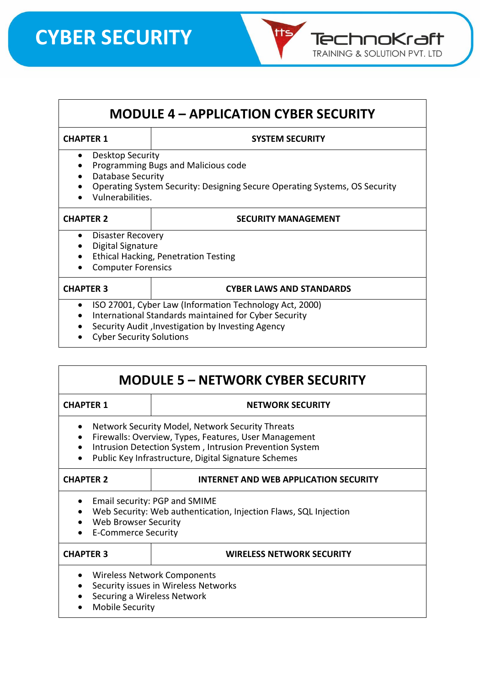# **CYBER SECURITY**



## **MODULE 4 – APPLICATION CYBER SECURITY**

## **CHAPTER 1 SYSTEM SECURITY**

- Desktop Security
- Programming Bugs and Malicious code
- Database Security
- Operating System Security: Designing Secure Operating Systems, OS Security
- Vulnerabilities.

#### **CHAPTER 2 SECURITY MANAGEMENT**

- Disaster Recovery
- Digital Signature
- Ethical Hacking, Penetration Testing
- Computer Forensics

#### **CHAPTER 3 CYBER LAWS AND STANDARDS**

- ISO 27001, Cyber Law (Information Technology Act, 2000)
- International Standards maintained for Cyber Security
- Security Audit ,Investigation by Investing Agency
- Cyber Security Solutions

## **MODULE 5 – NETWORK CYBER SECURITY**

#### **CHAPTER 1 NETWORK SECURITY**

- Network Security Model, Network Security Threats
- Firewalls: Overview, Types, Features, User Management
- Intrusion Detection System , Intrusion Prevention System
- Public Key Infrastructure, Digital Signature Schemes

## **CHAPTER 2 INTERNET AND WEB APPLICATION SECURITY**

- Email security: PGP and SMIME
- Web Security: Web authentication, Injection Flaws, SQL Injection
- Web Browser Security
- E-Commerce Security

## **CHAPTER 3 WIRELESS NETWORK SECURITY**

- Wireless Network Components
- Security issues in Wireless Networks
- Securing a Wireless Network
- Mobile Security